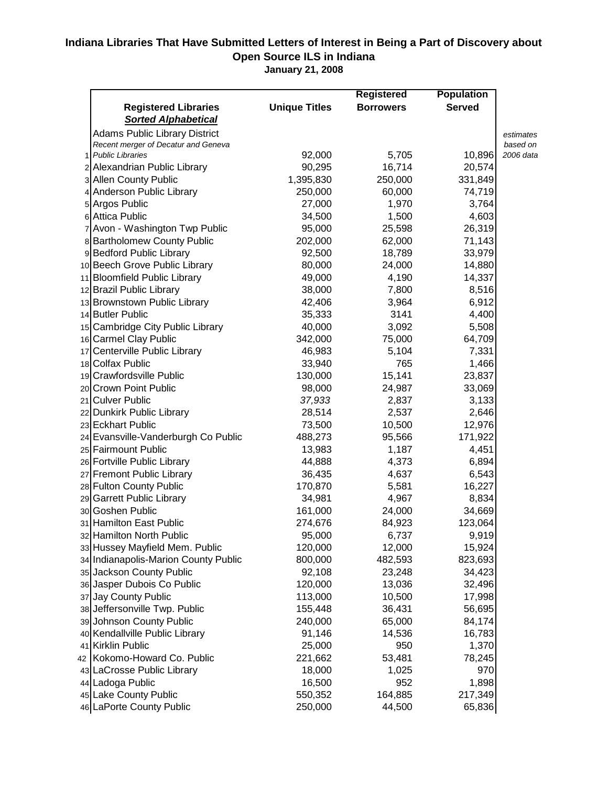## **Indiana Libraries That Have Submitted Letters of Interest in Being a Part of Discovery about Open Source ILS in Indiana**

**January 21, 2008**

|                                      |                      | <b>Registered</b> | <b>Population</b> |           |
|--------------------------------------|----------------------|-------------------|-------------------|-----------|
| <b>Registered Libraries</b>          | <b>Unique Titles</b> | <b>Borrowers</b>  | <b>Served</b>     |           |
| <b>Sorted Alphabetical</b>           |                      |                   |                   |           |
| <b>Adams Public Library District</b> |                      |                   |                   | estimates |
| Recent merger of Decatur and Geneva  |                      |                   |                   | based on  |
| <b>Public Libraries</b>              | 92,000               | 5,705             | 10,896            | 2006 data |
| 2 Alexandrian Public Library         | 90,295               | 16,714            | 20,574            |           |
| 3 Allen County Public                | 1,395,830            | 250,000           | 331,849           |           |
| 4 Anderson Public Library            | 250,000              | 60,000            | 74,719            |           |
| 5 Argos Public                       | 27,000               | 1,970             | 3,764             |           |
| 6 Attica Public                      | 34,500               | 1,500             | 4,603             |           |
| 7 Avon - Washington Twp Public       | 95,000               | 25,598            | 26,319            |           |
| 8 Bartholomew County Public          | 202,000              | 62,000            | 71,143            |           |
| 9 Bedford Public Library             | 92,500               | 18,789            | 33,979            |           |
| 10 Beech Grove Public Library        | 80,000               | 24,000            | 14,880            |           |
| 11 Bloomfield Public Library         | 49,000               | 4,190             | 14,337            |           |
| 12 Brazil Public Library             | 38,000               | 7,800             | 8,516             |           |
| 13 Brownstown Public Library         | 42,406               | 3,964             | 6,912             |           |
| 14 Butler Public                     | 35,333               | 3141              | 4,400             |           |
| 15 Cambridge City Public Library     | 40,000               | 3,092             | 5,508             |           |
| 16 Carmel Clay Public                | 342,000              | 75,000            | 64,709            |           |
| 17 Centerville Public Library        | 46,983               | 5,104             | 7,331             |           |
| 18 Colfax Public                     | 33,940               | 765               | 1,466             |           |
| 19 Crawfordsville Public             | 130,000              | 15,141            | 23,837            |           |
| 20 Crown Point Public                | 98,000               | 24,987            | 33,069            |           |
| 21 Culver Public                     | 37,933               | 2,837             | 3,133             |           |
| 22 Dunkirk Public Library            | 28,514               | 2,537             | 2,646             |           |
| 23 Eckhart Public                    | 73,500               | 10,500            | 12,976            |           |
| 24 Evansville-Vanderburgh Co Public  | 488,273              | 95,566            | 171,922           |           |
| 25 Fairmount Public                  | 13,983               | 1,187             | 4,451             |           |
| 26 Fortville Public Library          | 44,888               | 4,373             | 6,894             |           |
| 27 Fremont Public Library            | 36,435               | 4,637             | 6,543             |           |
| 28 Fulton County Public              | 170,870              | 5,581             | 16,227            |           |
| 29 Garrett Public Library            | 34,981               | 4,967             | 8,834             |           |
| 30 Goshen Public                     | 161,000              | 24,000            | 34,669            |           |
| 31 Hamilton East Public              | 274,676              | 84,923            | 123,064           |           |
| 32 Hamilton North Public             | 95,000               | 6,737             | 9,919             |           |
| 33 Hussey Mayfield Mem. Public       | 120,000              | 12,000            | 15,924            |           |
| 34 Indianapolis-Marion County Public | 800,000              | 482,593           | 823,693           |           |
| 35 Jackson County Public             | 92,108               | 23,248            | 34,423            |           |
| 36 Jasper Dubois Co Public           | 120,000              | 13,036            | 32,496            |           |
| 37 Jay County Public                 | 113,000              | 10,500            | 17,998            |           |
| 38 Jeffersonville Twp. Public        | 155,448              | 36,431            | 56,695            |           |
| 39 Johnson County Public             | 240,000              | 65,000            | 84,174            |           |
| 40 Kendallville Public Library       | 91,146               | 14,536            | 16,783            |           |
| 41 Kirklin Public                    | 25,000               | 950               | 1,370             |           |
| 42 Kokomo-Howard Co. Public          | 221,662              | 53,481            | 78,245            |           |
| 43 LaCrosse Public Library           | 18,000               | 1,025             | 970               |           |
| 44 Ladoga Public                     | 16,500               | 952               | 1,898             |           |
| 45 Lake County Public                | 550,352              | 164,885           | 217,349           |           |
| 46 LaPorte County Public             | 250,000              | 44,500            | 65,836            |           |
|                                      |                      |                   |                   |           |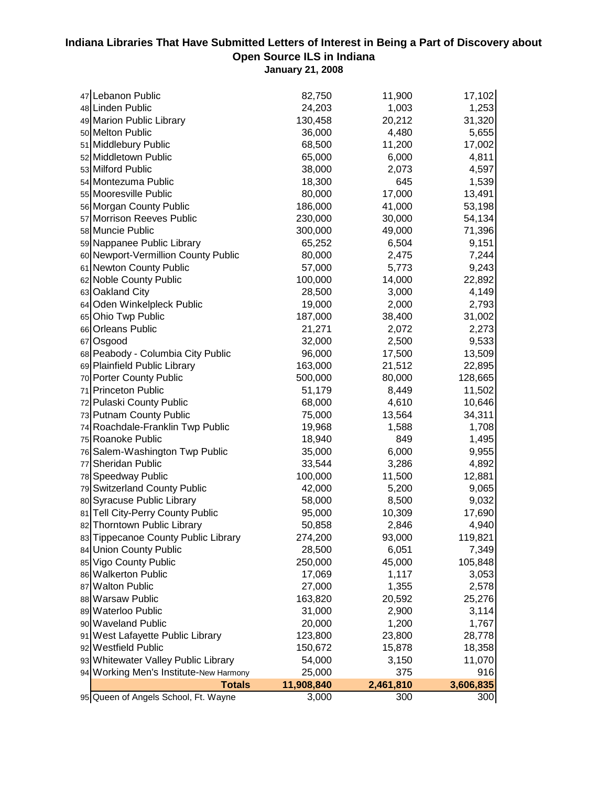## **Indiana Libraries That Have Submitted Letters of Interest in Being a Part of Discovery about Open Source ILS in Indiana**

**January 21, 2008**

| 47 Lebanon Public                      | 82,750     | 11,900    | 17,102    |
|----------------------------------------|------------|-----------|-----------|
| 48 Linden Public                       | 24,203     | 1,003     | 1,253     |
| 49 Marion Public Library               | 130,458    | 20,212    | 31,320    |
| 50 Melton Public                       | 36,000     | 4,480     | 5,655     |
| 51 Middlebury Public                   | 68,500     | 11,200    | 17,002    |
| 52 Middletown Public                   | 65,000     | 6,000     | 4,811     |
| 53 Milford Public                      | 38,000     | 2,073     | 4,597     |
| 54 Montezuma Public                    | 18,300     | 645       | 1,539     |
| 55 Mooresville Public                  | 80,000     | 17,000    | 13,491    |
| 56 Morgan County Public                | 186,000    | 41,000    | 53,198    |
| 57 Morrison Reeves Public              | 230,000    | 30,000    | 54,134    |
| 58 Muncie Public                       | 300,000    | 49,000    | 71,396    |
| 59 Nappanee Public Library             | 65,252     | 6,504     | 9,151     |
| 60 Newport-Vermillion County Public    | 80,000     | 2,475     | 7,244     |
| 61 Newton County Public                | 57,000     | 5,773     | 9,243     |
| 62 Noble County Public                 | 100,000    | 14,000    | 22,892    |
| 63 Oakland City                        | 28,500     | 3,000     | 4,149     |
| 64 Oden Winkelpleck Public             | 19,000     | 2,000     | 2,793     |
| 65 Ohio Twp Public                     | 187,000    | 38,400    | 31,002    |
| 66 Orleans Public                      | 21,271     | 2,072     | 2,273     |
| 67 Osgood                              | 32,000     | 2,500     | 9,533     |
| 68 Peabody - Columbia City Public      | 96,000     | 17,500    | 13,509    |
| 69 Plainfield Public Library           | 163,000    | 21,512    | 22,895    |
| 70 Porter County Public                | 500,000    | 80,000    | 128,665   |
| 71 Princeton Public                    | 51,179     | 8,449     | 11,502    |
| 72 Pulaski County Public               | 68,000     | 4,610     | 10,646    |
| 73 Putnam County Public                | 75,000     | 13,564    | 34,311    |
| 74 Roachdale-Franklin Twp Public       | 19,968     | 1,588     | 1,708     |
| 75 Roanoke Public                      | 18,940     | 849       | 1,495     |
| 76 Salem-Washington Twp Public         | 35,000     | 6,000     | 9,955     |
| 77 Sheridan Public                     | 33,544     | 3,286     | 4,892     |
| 78 Speedway Public                     | 100,000    | 11,500    | 12,881    |
| 79 Switzerland County Public           | 42,000     | 5,200     | 9,065     |
| 80 Syracuse Public Library             | 58,000     | 8,500     | 9,032     |
| 81 Tell City-Perry County Public       | 95,000     | 10,309    | 17,690    |
| 82 Thorntown Public Library            | 50,858     | 2,846     | 4,940     |
| 83 Tippecanoe County Public Library    | 274,200    | 93,000    | 119,821   |
| 84 Union County Public                 | 28,500     | 6,051     | 7,349     |
| 85 Vigo County Public                  | 250,000    | 45,000    | 105,848   |
| 86 Walkerton Public                    | 17,069     | 1,117     | 3,053     |
| 87 Walton Public                       | 27,000     | 1,355     | 2,578     |
| 88 Warsaw Public                       | 163,820    | 20,592    | 25,276    |
| 89 Waterloo Public                     | 31,000     | 2,900     | 3,114     |
| 90 Waveland Public                     | 20,000     | 1,200     | 1,767     |
| 91 West Lafayette Public Library       | 123,800    | 23,800    | 28,778    |
| 92 Westfield Public                    | 150,672    | 15,878    | 18,358    |
| 93 Whitewater Valley Public Library    | 54,000     | 3,150     | 11,070    |
| 94 Working Men's Institute-New Harmony | 25,000     | 375       | 916       |
| <b>Totals</b>                          | 11,908,840 | 2,461,810 | 3,606,835 |
| 95 Queen of Angels School, Ft. Wayne   | 3,000      | 300       | 300       |